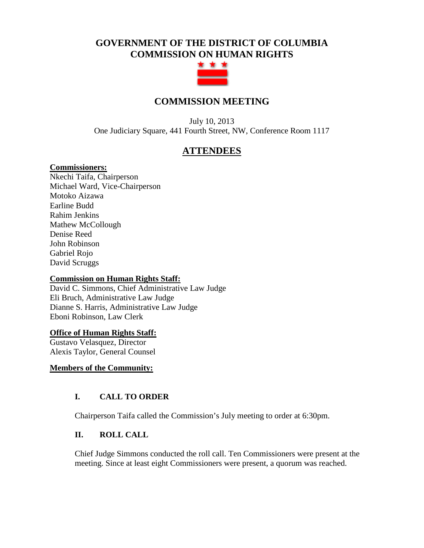# **GOVERNMENT OF THE DISTRICT OF COLUMBIA COMMISSION ON HUMAN RIGHTS**



## **COMMISSION MEETING**

July 10, 2013 One Judiciary Square, 441 Fourth Street, NW, Conference Room 1117

## **ATTENDEES**

#### **Commissioners:**

Nkechi Taifa, Chairperson Michael Ward, Vice-Chairperson Motoko Aizawa Earline Budd Rahim Jenkins Mathew McCollough Denise Reed John Robinson Gabriel Rojo David Scruggs

## **Commission on Human Rights Staff:**

David C. Simmons, Chief Administrative Law Judge Eli Bruch, Administrative Law Judge Dianne S. Harris, Administrative Law Judge Eboni Robinson, Law Clerk

## **Office of Human Rights Staff:**

Gustavo Velasquez, Director Alexis Taylor, General Counsel

## **Members of the Community:**

## **I. CALL TO ORDER**

Chairperson Taifa called the Commission's July meeting to order at 6:30pm.

## **II. ROLL CALL**

Chief Judge Simmons conducted the roll call. Ten Commissioners were present at the meeting. Since at least eight Commissioners were present, a quorum was reached.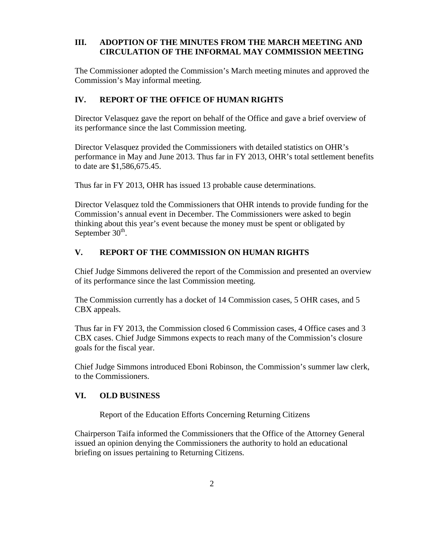## **III. ADOPTION OF THE MINUTES FROM THE MARCH MEETING AND CIRCULATION OF THE INFORMAL MAY COMMISSION MEETING**

The Commissioner adopted the Commission's March meeting minutes and approved the Commission's May informal meeting.

## **IV. REPORT OF THE OFFICE OF HUMAN RIGHTS**

Director Velasquez gave the report on behalf of the Office and gave a brief overview of its performance since the last Commission meeting.

Director Velasquez provided the Commissioners with detailed statistics on OHR's performance in May and June 2013. Thus far in FY 2013, OHR's total settlement benefits to date are \$1,586,675.45.

Thus far in FY 2013, OHR has issued 13 probable cause determinations.

Director Velasquez told the Commissioners that OHR intends to provide funding for the Commission's annual event in December. The Commissioners were asked to begin thinking about this year's event because the money must be spent or obligated by September  $30<sup>th</sup>$ .

## **V. REPORT OF THE COMMISSION ON HUMAN RIGHTS**

Chief Judge Simmons delivered the report of the Commission and presented an overview of its performance since the last Commission meeting.

The Commission currently has a docket of 14 Commission cases, 5 OHR cases, and 5 CBX appeals.

Thus far in FY 2013, the Commission closed 6 Commission cases, 4 Office cases and 3 CBX cases. Chief Judge Simmons expects to reach many of the Commission's closure goals for the fiscal year.

Chief Judge Simmons introduced Eboni Robinson, the Commission's summer law clerk, to the Commissioners.

## **VI. OLD BUSINESS**

Report of the Education Efforts Concerning Returning Citizens

Chairperson Taifa informed the Commissioners that the Office of the Attorney General issued an opinion denying the Commissioners the authority to hold an educational briefing on issues pertaining to Returning Citizens.